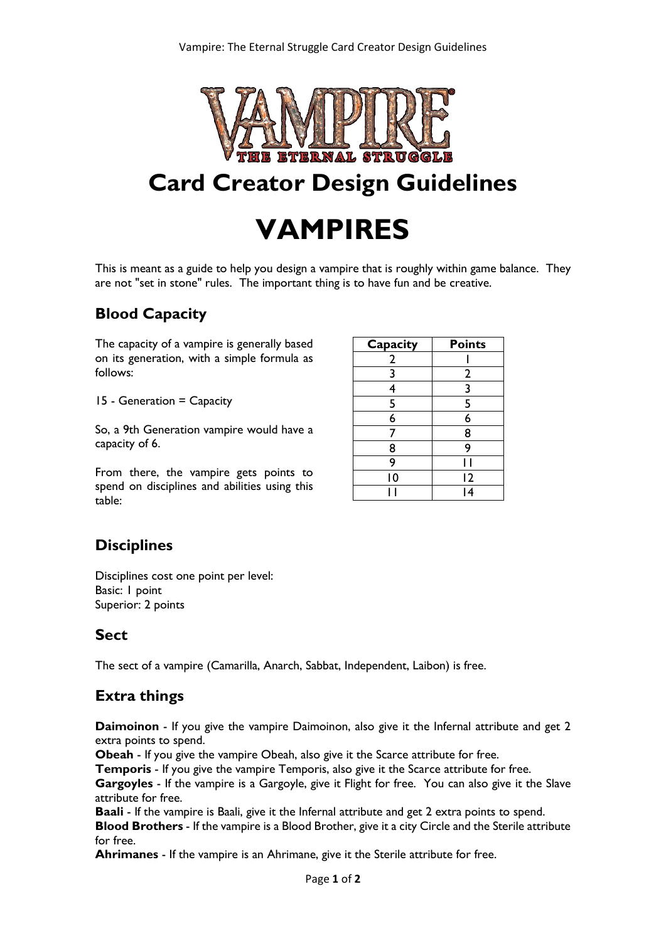

## **Card Creator Design Guidelines**

# **VAMPIRES**

This is meant as a guide to help you design a vampire that is roughly within game balance. They are not "set in stone" rules. The important thing is to have fun and be creative.

### **Blood Capacity**

The capacity of a vampire is generally based on its generation, with a simple formula as follows:

15 - Generation = Capacity

So, a 9th Generation vampire would have a capacity of 6.

From there, the vampire gets points to spend on disciplines and abilities using this table:

| Capacity       | <b>Points</b>           |
|----------------|-------------------------|
| $\overline{2}$ |                         |
| $\overline{3}$ | $\overline{2}$          |
| 4              | $\overline{\mathbf{3}}$ |
| 5              | 5                       |
| $\overline{6}$ | $\overline{6}$          |
| 7              | 8                       |
| 8              | 9                       |
| 9              |                         |
| 10             | 12                      |
|                | 4                       |

### **Disciplines**

Disciplines cost one point per level: Basic: 1 point Superior: 2 points

### **Sect**

The sect of a vampire (Camarilla, Anarch, Sabbat, Independent, Laibon) is free.

### **Extra things**

**Daimoinon** - If you give the vampire Daimoinon, also give it the Infernal attribute and get 2 extra points to spend.

**Obeah** - If you give the vampire Obeah, also give it the Scarce attribute for free.

**Temporis** - If you give the vampire Temporis, also give it the Scarce attribute for free.

**Gargoyles** - If the vampire is a Gargoyle, give it Flight for free. You can also give it the Slave attribute for free.

**Baali** - If the vampire is Baali, give it the Infernal attribute and get 2 extra points to spend.

**Blood Brothers** - If the vampire is a Blood Brother, give it a city Circle and the Sterile attribute for free.

**Ahrimanes** - If the vampire is an Ahrimane, give it the Sterile attribute for free.